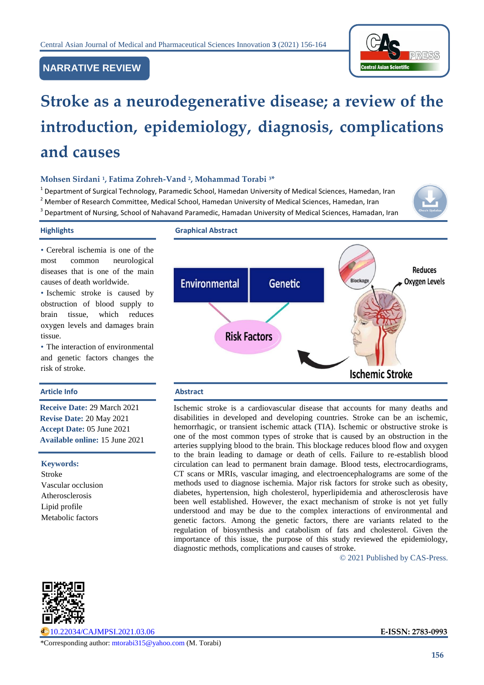

# **NARRATIVE REVIEW**

# **Stroke as a neurodegenerative disease; a review of the introduction, epidemiology, diagnosis, complications and causes**

# **Mohsen Sirdani <sup>1</sup> , Fatima Zohreh-Vand <sup>2</sup> , Mohammad Torabi <sup>3</sup>\***

<sup>1</sup> Department of Surgical Technology, Paramedic School, Hamedan University of Medical Sciences, Hamedan, Iran <sup>2</sup> Member of Research Committee, Medical School, Hamedan University of Medical Sciences, Hamedan, Iran <sup>3</sup> Department of Nursing, School of Nahavand Paramedic, Hamadan University of Medical Sciences, Hamadan, Iran



# **Highlights Graphical Abstract**

• Cerebral ischemia is one of the most common neurological diseases that is one of the main causes of death worldwide.

• Ischemic stroke is caused by obstruction of blood supply to brain tissue, which reduces oxygen levels and damages brain tissue.

• The interaction of environmental and genetic factors changes the risk of stroke.

# **Article Info Abstract**

**Receive Date:** 29 March 2021 **Revise Date:** 20 May 2021 **Accept Date:** 05 June 2021 **Available online:** 15 June 2021

#### **Keywords:**

Stroke Vascular occlusion Atherosclerosis Lipid profile Metabolic factors



Ischemic stroke is a cardiovascular disease that accounts for many deaths and disabilities in developed and developing countries. Stroke can be an ischemic, hemorrhagic, or transient ischemic attack (TIA). Ischemic or obstructive stroke is one of the most common types of stroke that is caused by an obstruction in the arteries supplying blood to the brain. This blockage reduces blood flow and oxygen to the brain leading to damage or death of cells. Failure to re-establish blood circulation can lead to permanent brain damage. Blood tests, electrocardiograms, CT scans or MRIs, vascular imaging, and electroencephalograms are some of the methods used to diagnose ischemia. Major risk factors for stroke such as obesity, diabetes, hypertension, high cholesterol, hyperlipidemia and atherosclerosis have been well established. However, the exact mechanism of stroke is not yet fully understood and may be due to the complex interactions of environmental and genetic factors. Among the genetic factors, there are variants related to the regulation of biosynthesis and catabolism of fats and cholesterol. Given the importance of this issue, the purpose of this study reviewed the epidemiology, diagnostic methods, complications and causes of stroke.

© 2021 Published by CAS-Press.



[10.22034/CAJMPSI.2021.03.06](http://www.cajmpsi.com/article_132199.html) **E-ISSN: 2783-0993**

\*Corresponding author: [mtorabi315@yahoo.com](mailto:mtorabi315@yahoo.com) (M. Torabi)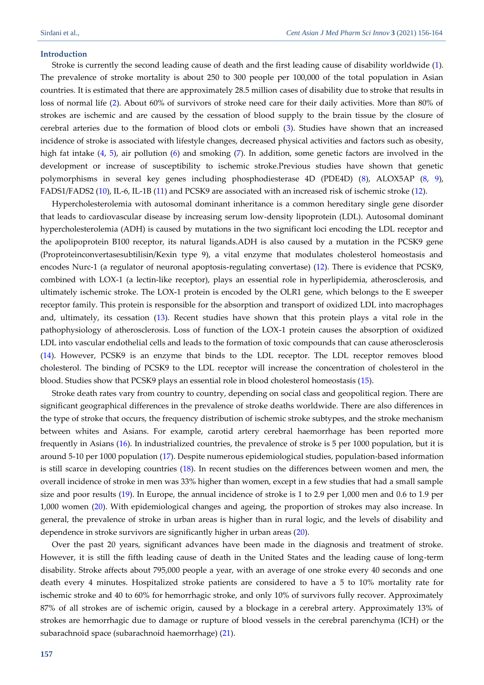#### **Introduction**

Stroke is currently the second leading cause of death and the first leading cause of disability worldwide [\(1\)](#page-5-0). The prevalence of stroke mortality is about 250 to 300 people per 100,000 of the total population in Asian countries. It is estimated that there are approximately 28.5 million cases of disability due to stroke that results in loss of normal life [\(2\)](#page-5-1). About 60% of survivors of stroke need care for their daily activities. More than 80% of strokes are ischemic and are caused by the cessation of blood supply to the brain tissue by the closure of cerebral arteries due to the formation of blood clots or emboli [\(3\)](#page-5-2). Studies have shown that an increased incidence of stroke is associated with lifestyle changes, decreased physical activities and factors such as obesity, high fat intake [\(4,](#page-6-0) [5\)](#page-6-1), air pollution [\(6\)](#page-6-2) and smoking [\(7\)](#page-6-3). In addition, some genetic factors are involved in the development or increase of susceptibility to ischemic stroke.Previous studies have shown that genetic polymorphisms in several key genes including phosphodiesterase 4D (PDE4D) [\(8\)](#page-6-4), ALOX5AP [\(8,](#page-6-4) [9\)](#page-6-5), FADS1/FADS2 [\(10\)](#page-6-6), IL-6, IL-1B [\(11\)](#page-6-7) and PCSK9 are associated with an increased risk of ischemic stroke [\(12\)](#page-6-8).

Hypercholesterolemia with autosomal dominant inheritance is a common hereditary single gene disorder that leads to cardiovascular disease by increasing serum low-density lipoprotein (LDL). Autosomal dominant hypercholesterolemia (ADH) is caused by mutations in the two significant loci encoding the LDL receptor and the apolipoprotein B100 receptor, its natural ligands.ADH is also caused by a mutation in the PCSK9 gene (Proproteinconvertasesubtilisin/Kexin type 9), a vital enzyme that modulates cholesterol homeostasis and encodes Nurc-1 (a regulator of neuronal apoptosis-regulating convertase) [\(12\)](#page-6-8). There is evidence that PCSK9, combined with LOX-1 (a lectin-like receptor), plays an essential role in hyperlipidemia, atherosclerosis, and ultimately ischemic stroke. The LOX-1 protein is encoded by the OLR1 gene, which belongs to the E sweeper receptor family. This protein is responsible for the absorption and transport of oxidized LDL into macrophages and, ultimately, its cessation [\(13\)](#page-6-9). Recent studies have shown that this protein plays a vital role in the pathophysiology of atherosclerosis. Loss of function of the LOX-1 protein causes the absorption of oxidized LDL into vascular endothelial cells and leads to the formation of toxic compounds that can cause atherosclerosis [\(14\)](#page-6-10). However, PCSK9 is an enzyme that binds to the LDL receptor. The LDL receptor removes blood cholesterol. The binding of PCSK9 to the LDL receptor will increase the concentration of cholesterol in the blood. Studies show that PCSK9 plays an essential role in blood cholesterol homeostasis [\(15\)](#page-6-11).

Stroke death rates vary from country to country, depending on social class and geopolitical region. There are significant geographical differences in the prevalence of stroke deaths worldwide. There are also differences in the type of stroke that occurs, the frequency distribution of ischemic stroke subtypes, and the stroke mechanism between whites and Asians. For example, carotid artery cerebral haemorrhage has been reported more frequently in Asians [\(16\)](#page-6-12). In industrialized countries, the prevalence of stroke is 5 per 1000 population, but it is around 5-10 per 1000 population [\(17\)](#page-6-13). Despite numerous epidemiological studies, population-based information is still scarce in developing countries  $(18)$ . In recent studies on the differences between women and men, the overall incidence of stroke in men was 33% higher than women, except in a few studies that had a small sample size and poor results [\(19\)](#page-6-15). In Europe, the annual incidence of stroke is 1 to 2.9 per 1,000 men and 0.6 to 1.9 per 1,000 women [\(20\)](#page-6-16). With epidemiological changes and ageing, the proportion of strokes may also increase. In general, the prevalence of stroke in urban areas is higher than in rural logic, and the levels of disability and dependence in stroke survivors are significantly higher in urban areas [\(20\)](#page-6-16).

Over the past 20 years, significant advances have been made in the diagnosis and treatment of stroke. However, it is still the fifth leading cause of death in the United States and the leading cause of long-term disability. Stroke affects about 795,000 people a year, with an average of one stroke every 40 seconds and one death every 4 minutes. Hospitalized stroke patients are considered to have a 5 to 10% mortality rate for ischemic stroke and 40 to 60% for hemorrhagic stroke, and only 10% of survivors fully recover. Approximately 87% of all strokes are of ischemic origin, caused by a blockage in a cerebral artery. Approximately 13% of strokes are hemorrhagic due to damage or rupture of blood vessels in the cerebral parenchyma (ICH) or the subarachnoid space (subarachnoid haemorrhage) [\(21\)](#page-6-17).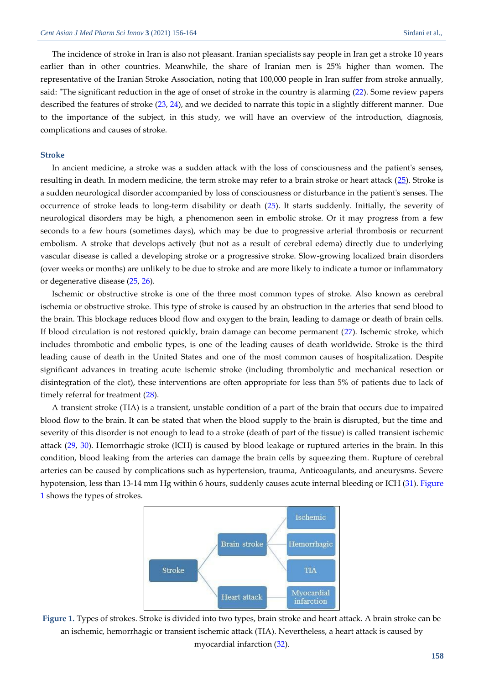The incidence of stroke in Iran is also not pleasant. Iranian specialists say people in Iran get a stroke 10 years earlier than in other countries. Meanwhile, the share of Iranian men is 25% higher than women. The representative of the Iranian Stroke Association, noting that 100,000 people in Iran suffer from stroke annually, said: "The significant reduction in the age of onset of stroke in the country is alarming [\(22\)](#page-7-0). Some review papers described the features of stroke [\(23,](#page-7-1) [24\)](#page-7-2), and we decided to narrate this topic in a slightly different manner. Due to the importance of the subject, in this study, we will have an overview of the introduction, diagnosis, complications and causes of stroke.

# **Stroke**

In ancient medicine, a stroke was a sudden attack with the loss of consciousness and the patient's senses, resulting in death. In modern medicine, the term stroke may refer to a brain stroke or heart attack [\(25\)](#page-7-3). Stroke is a sudden neurological disorder accompanied by loss of consciousness or disturbance in the patient's senses. The occurrence of stroke leads to long-term disability or death [\(25\)](#page-7-3). It starts suddenly. Initially, the severity of neurological disorders may be high, a phenomenon seen in embolic stroke. Or it may progress from a few seconds to a few hours (sometimes days), which may be due to progressive arterial thrombosis or recurrent embolism. A stroke that develops actively (but not as a result of cerebral edema) directly due to underlying vascular disease is called a developing stroke or a progressive stroke. Slow-growing localized brain disorders (over weeks or months) are unlikely to be due to stroke and are more likely to indicate a tumor or inflammatory or degenerative disease [\(25,](#page-7-3) [26\)](#page-7-4).

Ischemic or obstructive stroke is one of the three most common types of stroke. Also known as cerebral ischemia or obstructive stroke. This type of stroke is caused by an obstruction in the arteries that send blood to the brain. This blockage reduces blood flow and oxygen to the brain, leading to damage or death of brain cells. If blood circulation is not restored quickly, brain damage can become permanent [\(27\)](#page-7-5). Ischemic stroke, which includes thrombotic and embolic types, is one of the leading causes of death worldwide. Stroke is the third leading cause of death in the United States and one of the most common causes of hospitalization. Despite significant advances in treating acute ischemic stroke (including thrombolytic and mechanical resection or disintegration of the clot), these interventions are often appropriate for less than 5% of patients due to lack of timely referral for treatment [\(28\)](#page-7-6).

A transient stroke (TIA) is a transient, unstable condition of a part of the brain that occurs due to impaired blood flow to the brain. It can be stated that when the blood supply to the brain is disrupted, but the time and severity of this disorder is not enough to lead to a stroke (death of part of the tissue) is called transient ischemic attack [\(29,](#page-7-7) [30\)](#page-7-8). Hemorrhagic stroke (ICH) is caused by blood leakage or ruptured arteries in the brain. In this condition, blood leaking from the arteries can damage the brain cells by squeezing them. Rupture of cerebral arteries can be caused by complications such as hypertension, trauma, Anticoagulants, and aneurysms. Severe hypotension, less than 13-14 mm Hg within 6 hours, suddenly causes acute internal bleeding or ICH [\(31\)](#page-7-9). [Figure](#page-2-0)  [1](#page-2-0) shows the types of strokes.



<span id="page-2-0"></span>**Figure 1.** Types of strokes. Stroke is divided into two types, brain stroke and heart attack. A brain stroke can be an ischemic, hemorrhagic or transient ischemic attack (TIA). Nevertheless, a heart attack is caused by myocardial infarction [\(32\)](#page-7-10).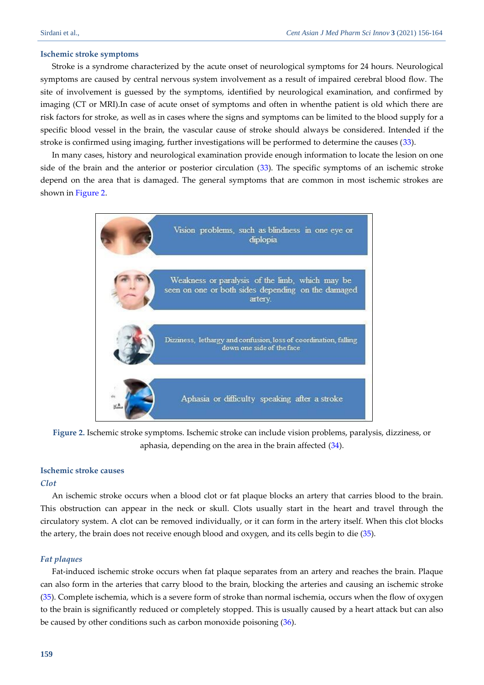### **Ischemic stroke symptoms**

Stroke is a syndrome characterized by the acute onset of neurological symptoms for 24 hours. Neurological symptoms are caused by central nervous system involvement as a result of impaired cerebral blood flow. The site of involvement is guessed by the symptoms, identified by neurological examination, and confirmed by imaging (CT or MRI).In case of acute onset of symptoms and often in whenthe patient is old which there are risk factors for stroke, as well as in cases where the signs and symptoms can be limited to the blood supply for a specific blood vessel in the brain, the vascular cause of stroke should always be considered. Intended if the stroke is confirmed using imaging, further investigations will be performed to determine the causes [\(33\)](#page-7-11).

In many cases, history and neurological examination provide enough information to locate the lesion on one side of the brain and the anterior or posterior circulation [\(33\)](#page-7-11). The specific symptoms of an ischemic stroke depend on the area that is damaged. The general symptoms that are common in most ischemic strokes are shown in [Figure 2.](#page-3-0)



<span id="page-3-0"></span>**Figure 2.** Ischemic stroke symptoms. Ischemic stroke can include vision problems, paralysis, dizziness, or aphasia, depending on the area in the brain affected [\(34\)](#page-7-12).

# **Ischemic stroke causes**

#### *Clot*

An ischemic stroke occurs when a blood clot or fat plaque blocks an artery that carries blood to the brain. This obstruction can appear in the neck or skull. Clots usually start in the heart and travel through the circulatory system. A clot can be removed individually, or it can form in the artery itself. When this clot blocks the artery, the brain does not receive enough blood and oxygen, and its cells begin to die [\(35\)](#page-7-13).

# *Fat plaques*

Fat-induced ischemic stroke occurs when fat plaque separates from an artery and reaches the brain. Plaque can also form in the arteries that carry blood to the brain, blocking the arteries and causing an ischemic stroke [\(35\)](#page-7-13). Complete ischemia, which is a severe form of stroke than normal ischemia, occurs when the flow of oxygen to the brain is significantly reduced or completely stopped. This is usually caused by a heart attack but can also be caused by other conditions such as carbon monoxide poisoning [\(36\)](#page-7-14).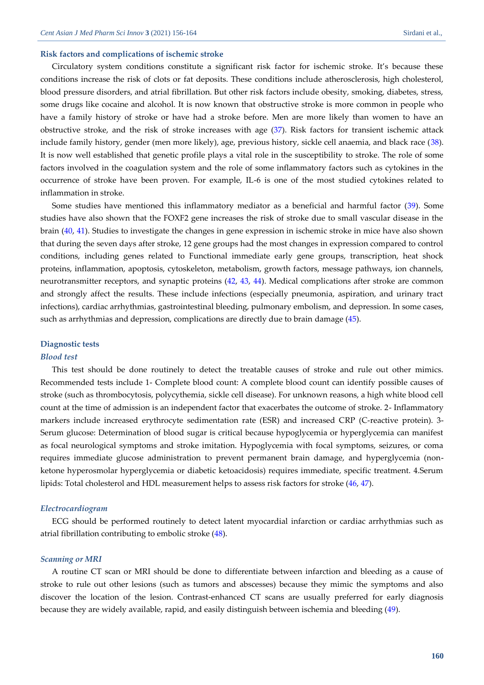#### **Risk factors and complications of ischemic stroke**

Circulatory system conditions constitute a significant risk factor for ischemic stroke. It's because these conditions increase the risk of clots or fat deposits. These conditions include atherosclerosis, high cholesterol, blood pressure disorders, and atrial fibrillation. But other risk factors include obesity, smoking, diabetes, stress, some drugs like cocaine and alcohol. It is now known that obstructive stroke is more common in people who have a family history of stroke or have had a stroke before. Men are more likely than women to have an obstructive stroke, and the risk of stroke increases with age [\(37\)](#page-7-15). Risk factors for transient ischemic attack include family history, gender (men more likely), age, previous history, sickle cell anaemia, and black race [\(38\)](#page-7-16). It is now well established that genetic profile plays a vital role in the susceptibility to stroke. The role of some factors involved in the coagulation system and the role of some inflammatory factors such as cytokines in the occurrence of stroke have been proven. For example, IL-6 is one of the most studied cytokines related to inflammation in stroke.

Some studies have mentioned this inflammatory mediator as a beneficial and harmful factor (39). Some studies have also shown that the FOXF2 gene increases the risk of stroke due to small vascular disease in the brain [\(40,](#page-8-0) [41\)](#page-8-1). Studies to investigate the changes in gene expression in ischemic stroke in mice have also shown that during the seven days after stroke, 12 gene groups had the most changes in expression compared to control conditions, including genes related to Functional immediate early gene groups, transcription, heat shock proteins, inflammation, apoptosis, cytoskeleton, metabolism, growth factors, message pathways, ion channels, neurotransmitter receptors, and synaptic proteins [\(42,](#page-8-2) [43,](#page-8-3) [44\)](#page-8-4). Medical complications after stroke are common and strongly affect the results. These include infections (especially pneumonia, aspiration, and urinary tract infections), cardiac arrhythmias, gastrointestinal bleeding, pulmonary embolism, and depression. In some cases, such as arrhythmias and depression, complications are directly due to brain damage [\(45\)](#page-8-5).

#### **Diagnostic tests**

#### *Blood test*

This test should be done routinely to detect the treatable causes of stroke and rule out other mimics. Recommended tests include 1- Complete blood count: A complete blood count can identify possible causes of stroke (such as thrombocytosis, polycythemia, sickle cell disease). For unknown reasons, a high white blood cell count at the time of admission is an independent factor that exacerbates the outcome of stroke. 2- Inflammatory markers include increased erythrocyte sedimentation rate (ESR) and increased CRP (C-reactive protein). 3- Serum glucose: Determination of blood sugar is critical because hypoglycemia or hyperglycemia can manifest as focal neurological symptoms and stroke imitation. Hypoglycemia with focal symptoms, seizures, or coma requires immediate glucose administration to prevent permanent brain damage, and hyperglycemia (nonketone hyperosmolar hyperglycemia or diabetic ketoacidosis) requires immediate, specific treatment. 4.Serum lipids: Total cholesterol and HDL measurement helps to assess risk factors for stroke [\(46,](#page-8-6) [47\)](#page-8-7).

#### *Electrocardiogram*

ECG should be performed routinely to detect latent myocardial infarction or cardiac arrhythmias such as atrial fibrillation contributing to embolic stroke [\(48\)](#page-8-8).

#### *Scanning or MRI*

A routine CT scan or MRI should be done to differentiate between infarction and bleeding as a cause of stroke to rule out other lesions (such as tumors and abscesses) because they mimic the symptoms and also discover the location of the lesion. Contrast-enhanced CT scans are usually preferred for early diagnosis because they are widely available, rapid, and easily distinguish between ischemia and bleeding [\(49\)](#page-8-9).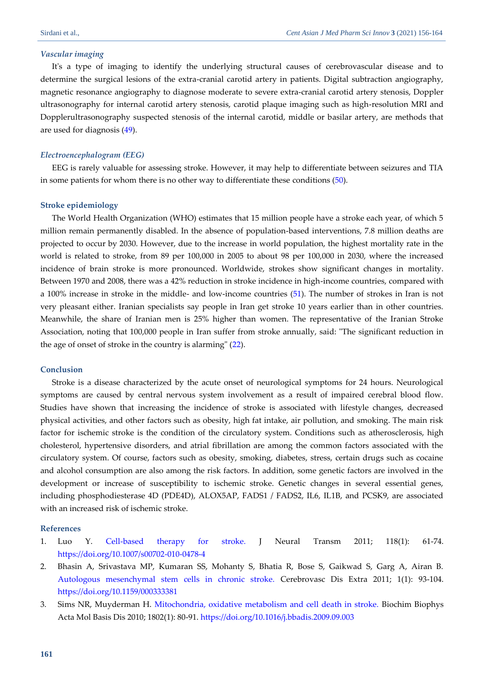#### *Vascular imaging*

It's a type of imaging to identify the underlying structural causes of cerebrovascular disease and to determine the surgical lesions of the extra-cranial carotid artery in patients. Digital subtraction angiography, magnetic resonance angiography to diagnose moderate to severe extra-cranial carotid artery stenosis, Doppler ultrasonography for internal carotid artery stenosis, carotid plaque imaging such as high-resolution MRI and Dopplerultrasonography suspected stenosis of the internal carotid, middle or basilar artery, are methods that are used for diagnosis [\(49\)](#page-8-9).

# *Electroencephalogram (EEG)*

EEG is rarely valuable for assessing stroke. However, it may help to differentiate between seizures and TIA in some patients for whom there is no other way to differentiate these conditions [\(50\)](#page-8-10).

#### **Stroke epidemiology**

The World Health Organization (WHO) estimates that 15 million people have a stroke each year, of which 5 million remain permanently disabled. In the absence of population-based interventions, 7.8 million deaths are projected to occur by 2030. However, due to the increase in world population, the highest mortality rate in the world is related to stroke, from 89 per 100,000 in 2005 to about 98 per 100,000 in 2030, where the increased incidence of brain stroke is more pronounced. Worldwide, strokes show significant changes in mortality. Between 1970 and 2008, there was a 42% reduction in stroke incidence in high-income countries, compared with a 100% increase in stroke in the middle- and low-income countries [\(51\)](#page-8-11). The number of strokes in Iran is not very pleasant either. Iranian specialists say people in Iran get stroke 10 years earlier than in other countries. Meanwhile, the share of Iranian men is 25% higher than women. The representative of the Iranian Stroke Association, noting that 100,000 people in Iran suffer from stroke annually, said: "The significant reduction in the age of onset of stroke in the country is alarming" [\(22\)](#page-7-0).

#### **Conclusion**

Stroke is a disease characterized by the acute onset of neurological symptoms for 24 hours. Neurological symptoms are caused by central nervous system involvement as a result of impaired cerebral blood flow. Studies have shown that increasing the incidence of stroke is associated with lifestyle changes, decreased physical activities, and other factors such as obesity, high fat intake, air pollution, and smoking. The main risk factor for ischemic stroke is the condition of the circulatory system. Conditions such as atherosclerosis, high cholesterol, hypertensive disorders, and atrial fibrillation are among the common factors associated with the circulatory system. Of course, factors such as obesity, smoking, diabetes, stress, certain drugs such as cocaine and alcohol consumption are also among the risk factors. In addition, some genetic factors are involved in the development or increase of susceptibility to ischemic stroke. Genetic changes in several essential genes, including phosphodiesterase 4D (PDE4D), ALOX5AP, FADS1 / FADS2, IL6, IL1B, and PCSK9, are associated with an increased risk of ischemic stroke.

# **References**

- <span id="page-5-0"></span>1. Luo Y. [Cell-based therapy for stroke.](https://freepaper.me/d/PDF/19/19810a69eac81a822b956126856b2b41.pdf?hash=PlZ4Sx8Xp2-6YjyROCLIZw&doi=10.1007/s00702-010-0478-4&title=&save=1%20%20%20%20%20%20%20%20%20%20%20%20%20%20%20%20style=) J Neural Transm 2011; 118(1): 61-74. <https://doi.org/10.1007/s00702-010-0478-4>
- <span id="page-5-1"></span>2. Bhasin A, Srivastava MP, Kumaran SS, Mohanty S, Bhatia R, Bose S, Gaikwad S, Garg A, Airan B. [Autologous mesenchymal stem cells in chronic stroke.](https://cyberleninka.org/article/n/1331610.pdf) Cerebrovasc Dis Extra 2011; 1(1): 93-104. <https://doi.org/10.1159/000333381>
- <span id="page-5-2"></span>3. Sims NR, Muyderman H. [Mitochondria, oxidative metabolism and cell death in stroke.](http://saludmitocondrial.net/uploads/3/5/7/0/35708167/stroke_2.pdf) Biochim Biophys Acta Mol Basis Dis 2010; 1802(1): 80-91. <https://doi.org/10.1016/j.bbadis.2009.09.003>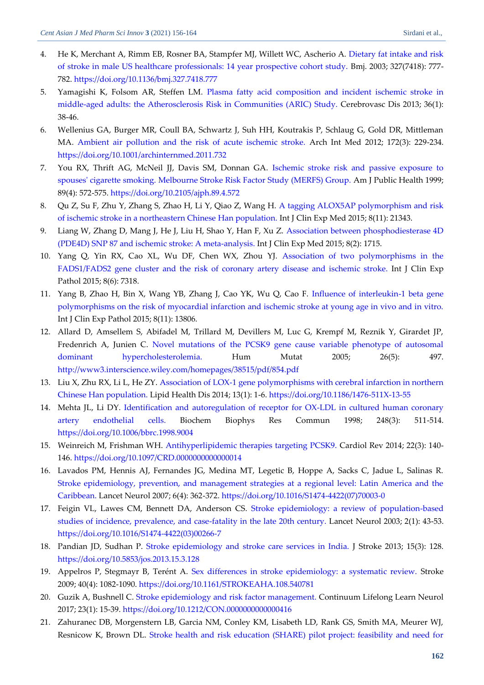- <span id="page-6-0"></span>4. He K, Merchant A, Rimm EB, Rosner BA, Stampfer MJ, Willett WC, Ascherio A. [Dietary fat intake and risk](https://d1wqtxts1xzle7.cloudfront.net/49306970/777.pdf?1475473751=&response-content-disposition=inline%3B+filename%3DDietary_fat_intake_and_risk_of_stroke_in.pdf&Expires=1624513705&Signature=M9nzFLR8KZ5Lvks-0v9K6s24qUzGhGEkW1axLPs74FzzWMl6xz5pafD7hrR2e4IFq0-54kZRVxOtkb56dDBZ-i6YQHaCcGfQXIoEs~byxQ2ZWxCiUIDeQ~sKHj~wRB7Hg01Kyl7uIKwmCdjOmUduFh4XyfCddht3SExyyWOZ5fa9vNa2htMnCwrt1dDVdi86~6tP3rgeiPIVo6TiuPN9CwW8dUtLEp1XYaXxEsiOWsoeo-lzitxwWeWPlEpaQmDPJYsl4v8lAUwc0S8x6NW5SfadktWXW5kmhwbx5-n5rWay928dNKTE01dnTXbkbECHgAwM2weRYBxIq9fRuWTsIw__&Key-Pair-Id=APKAJLOHF5GGSLRBV4ZA)  [of stroke in male US healthcare professionals: 14 year prospective cohort study.](https://d1wqtxts1xzle7.cloudfront.net/49306970/777.pdf?1475473751=&response-content-disposition=inline%3B+filename%3DDietary_fat_intake_and_risk_of_stroke_in.pdf&Expires=1624513705&Signature=M9nzFLR8KZ5Lvks-0v9K6s24qUzGhGEkW1axLPs74FzzWMl6xz5pafD7hrR2e4IFq0-54kZRVxOtkb56dDBZ-i6YQHaCcGfQXIoEs~byxQ2ZWxCiUIDeQ~sKHj~wRB7Hg01Kyl7uIKwmCdjOmUduFh4XyfCddht3SExyyWOZ5fa9vNa2htMnCwrt1dDVdi86~6tP3rgeiPIVo6TiuPN9CwW8dUtLEp1XYaXxEsiOWsoeo-lzitxwWeWPlEpaQmDPJYsl4v8lAUwc0S8x6NW5SfadktWXW5kmhwbx5-n5rWay928dNKTE01dnTXbkbECHgAwM2weRYBxIq9fRuWTsIw__&Key-Pair-Id=APKAJLOHF5GGSLRBV4ZA) Bmj. 2003; 327(7418): 777- 782. <https://doi.org/10.1136/bmj.327.7418.777>
- <span id="page-6-1"></span>5. Yamagishi K, Folsom AR, Steffen LM. [Plasma fatty acid composition and incident ischemic stroke in](https://www.karger.com/Article/Pdf/351205)  [middle-aged adults: the Atherosclerosis Risk in Communities \(ARIC\) Study.](https://www.karger.com/Article/Pdf/351205) Cerebrovasc Dis 2013; 36(1): 38-46.
- <span id="page-6-2"></span>6. Wellenius GA, Burger MR, Coull BA, Schwartz J, Suh HH, Koutrakis P, Schlaug G, Gold DR, Mittleman MA. [Ambient air pollution and the risk of acute ischemic stroke.](https://d1wqtxts1xzle7.cloudfront.net/44268922/Ambient_air_pollution_and_the_risk_of_ac20160331-25100-1dzoml8.pdf?1459450424=&response-content-disposition=inline%3B+filename%3DAmbient_air_pollution_and_the_risk_of_ac.pdf&Expires=1624514318&Signature=K7gMAOBVWSFppVfSuMCaOlYo-IPkT2y0vX0k3RIVLsLcbJiBumPCorR7OKay94djgidfvI~3rPK7YIpdynLosnPrrU0gq66rSsQlsUisiV9EI6HpOpltvXSoAjgn0UG7w624HITZiYZBcWyaeD2mIjHxJoKoBr9ChhBX1rNszVlNrlznbe0EdAZYW9l2GXvZUkw5vlSGc6hhdfirQ9zkRrO7FGuqDnlFdcF~Vv4Nsn59Kf63D8OVR5cr2CCLlE5yGHMFvE6xMeTm6JZdQghbuK0uOJk92PhfB3RKDd3X0wazaBuDLWrMvGdn1ynwHM-ga3KtLPophwiDqfDtmq7cMw__&Key-Pair-Id=APKAJLOHF5GGSLRBV4ZA) Arch Int Med 2012; 172(3): 229-234. <https://doi.org/10.1001/archinternmed.2011.732>
- <span id="page-6-3"></span>7. You RX, Thrift AG, McNeil JJ, Davis SM, Donnan GA. [Ischemic stroke risk and passive exposure to](https://ajph.aphapublications.org/doi/pdfplus/10.2105/AJPH.89.4.572)  [spouses' cigarette smoking. Melbourne Stroke Risk Factor Study \(MERFS\) Group.](https://ajph.aphapublications.org/doi/pdfplus/10.2105/AJPH.89.4.572) Am J Public Health 1999; 89(4): 572-575. <https://doi.org/10.2105/ajph.89.4.572>
- <span id="page-6-4"></span>8. Qu Z, Su F, Zhu Y, Zhang S, Zhao H, Li Y, Qiao Z, Wang H. [A tagging ALOX5AP polymorphism and risk](https://europepmc.org/article/pmc/4723920)  [of ischemic stroke in a northeastern Chinese Han population.](https://europepmc.org/article/pmc/4723920) Int J Clin Exp Med 2015; 8(11): 21343.
- <span id="page-6-5"></span>9. Liang W, Zhang D, Mang J, He J, Liu H, Shao Y, Han F, Xu Z. [Association between phosphodiesterase 4D](https://europepmc.org/article/med/25932100)  [\(PDE4D\) SNP 87 and ischemic stroke: A meta-analysis.](https://europepmc.org/article/med/25932100) Int J Clin Exp Med 2015; 8(2): 1715.
- <span id="page-6-6"></span>10. Yang Q, Yin RX, Cao XL, Wu DF, Chen WX, Zhou YJ. [Association of two polymorphisms in the](https://europepmc.org/article/med/26261632)  [FADS1/FADS2 gene cluster and the risk of coronary artery disease and ischemic stroke.](https://europepmc.org/article/med/26261632) Int J Clin Exp Pathol 2015; 8(6): 7318.
- <span id="page-6-7"></span>11. Yang B, Zhao H, Bin X, Wang YB, Zhang J, Cao YK, Wu Q, Cao F. [Influence of interleukin-1 beta gene](https://europepmc.org/article/med/26823694)  [polymorphisms on the risk of myocardial infarction and ischemic stroke at young age in vivo and in vitro.](https://europepmc.org/article/med/26823694) Int J Clin Exp Pathol 2015; 8(11): 13806.
- <span id="page-6-8"></span>12. Allard D, Amsellem S, Abifadel M, Trillard M, Devillers M, Luc G, Krempf M, Reznik Y, Girardet JP, Fredenrich A, Junien C. [Novel mutations of the PCSK9 gene cause variable phenotype of autosomal](https://onlinelibrary.wiley.com/doi/pdf/10.1002/humu.9383)  [dominant hypercholesterolemia.](https://onlinelibrary.wiley.com/doi/pdf/10.1002/humu.9383) Hum Mutat 2005; 26(5): 497. <http://www3.interscience.wiley.com/homepages/38515/pdf/854.pdf>
- <span id="page-6-9"></span>13. Liu X, Zhu RX, Li L, He ZY. [Association of LOX-1 gene polymorphisms with cerebral infarction in northern](https://cyberleninka.org/article/n/1072713.pdf)  [Chinese Han population.](https://cyberleninka.org/article/n/1072713.pdf) Lipid Health Dis 2014; 13(1): 1-6. <https://doi.org/10.1186/1476-511X-13-55>
- <span id="page-6-10"></span>14. Mehta JL, Li DY. [Identification and autoregulation of receptor for OX-LDL in cultured human coronary](https://freepaper.me/n/6RQ_FpYuFjkEm7crqxqaAQ/PDF/9f/9f99bb930d9659e66a1cc3d9f3469790.pdf)  [artery endothelial cells.](https://freepaper.me/n/6RQ_FpYuFjkEm7crqxqaAQ/PDF/9f/9f99bb930d9659e66a1cc3d9f3469790.pdf) Biochem Biophys Res Commun 1998; 248(3): 511-514. <https://doi.org/10.1006/bbrc.1998.9004>
- <span id="page-6-11"></span>15. Weinreich M, Frishman WH. [Antihyperlipidemic therapies targeting PCSK9.](https://journals.lww.com/cardiologyinreview/Abstract/2014/05000/Antihyperlipidemic_Therapies_Targeting_PCSK9.4.aspx) Cardiol Rev 2014; 22(3): 140- 146. <https://doi.org/10.1097/CRD.0000000000000014>
- <span id="page-6-12"></span>16. Lavados PM, Hennis AJ, Fernandes JG, Medina MT, Legetic B, Hoppe A, Sacks C, Jadue L, Salinas R. [Stroke epidemiology, prevention, and management strategies at a regional level: Latin America and the](https://d1wqtxts1xzle7.cloudfront.net/44840575/Stroke_epidemiology_prevention_and_manag20160417-21127-vs0xff.pdf?1460957683=&response-content-disposition=inline%3B+filename%3DStroke_epidemiology_prevention_and_manag.pdf&Expires=1624518977&Signature=Zp9wifzbGNLEHtCPHqyPloG~qNSMTqTAM0n0vp5YIYvdNU7QfYZWpOTCqh-PwmqI8y~6eph35kVCFESXjtdkDt1YY4ltUF92PtwnBYA5v8bUhBM1BR~tU~KKJ-nUhyDQRIqM5xZ0sVtf3Zyy5Y-h4Tte9X5rLIXc1oIZyKNS-p5yyXuJjnJPpcOzogisKyd8v2YiZuWaSDKCiXU2WKtxZoG3mHBu~FOJQSvjAN8Rk41uLVm~UmSSroU2ILZcW1bodk-1tiFQoJz8gczBHoWSz3WaZAN4emCdsctrFsIw~MaesdJTDM5go9mHUxk~xyQSPC2xM18aHOn983s34iUFpg__&Key-Pair-Id=APKAJLOHF5GGSLRBV4ZA)  [Caribbean.](https://d1wqtxts1xzle7.cloudfront.net/44840575/Stroke_epidemiology_prevention_and_manag20160417-21127-vs0xff.pdf?1460957683=&response-content-disposition=inline%3B+filename%3DStroke_epidemiology_prevention_and_manag.pdf&Expires=1624518977&Signature=Zp9wifzbGNLEHtCPHqyPloG~qNSMTqTAM0n0vp5YIYvdNU7QfYZWpOTCqh-PwmqI8y~6eph35kVCFESXjtdkDt1YY4ltUF92PtwnBYA5v8bUhBM1BR~tU~KKJ-nUhyDQRIqM5xZ0sVtf3Zyy5Y-h4Tte9X5rLIXc1oIZyKNS-p5yyXuJjnJPpcOzogisKyd8v2YiZuWaSDKCiXU2WKtxZoG3mHBu~FOJQSvjAN8Rk41uLVm~UmSSroU2ILZcW1bodk-1tiFQoJz8gczBHoWSz3WaZAN4emCdsctrFsIw~MaesdJTDM5go9mHUxk~xyQSPC2xM18aHOn983s34iUFpg__&Key-Pair-Id=APKAJLOHF5GGSLRBV4ZA) Lancet Neurol 2007; 6(4): 362-372. [https://doi.org/10.1016/S1474-4422\(07\)70003-0](https://doi.org/10.1016/S1474-4422(07)70003-0)
- <span id="page-6-13"></span>17. Feigin VL, Lawes CM, Bennett DA, Anderson CS. [Stroke epidemiology: a review of population-based](https://d1wqtxts1xzle7.cloudfront.net/45807587/Feigin_VL_Lawes_CM_Bennett_DA_Anderson_C20160520-12621-1wnm077.pdf?1463758240=&response-content-disposition=inline%3B+filename%3DStroke_epidemiology_a_review_of_populati.pdf&Expires=1624519147&Signature=OpHR1YtyrCOeHqShhMiRBMjIYRD1gqKUvWRpMzOxkcR6LCZmKTnjqpzSD7914GOI9JE2S1fuL6bHUKN6fs0I3bidC2tuZVsjzw0040EZigPbWwq189Mdi84yOuncFt3HDzE6e4rtZwjEE6U6vjwkLhXv~srFMGwRMP2ECiw90ihj1j742gJJRusHKK5tigf0Q1OZgWnvO6SPM3p644nReoUgSvMCHKcWd5hk5OLdzkoDMQnpwsO874naXx974ED2Dkmeey21eoHLS9v6JqX0VdVksNlAJ8eRaoV8fkr~R8AJ5bukkuaPmUQWGqsAZ3gXZohslVqBTcUvUpuWWbJA4A__&Key-Pair-Id=APKAJLOHF5GGSLRBV4ZA)  [studies of incidence, prevalence, and case-fatality in the late 20th century.](https://d1wqtxts1xzle7.cloudfront.net/45807587/Feigin_VL_Lawes_CM_Bennett_DA_Anderson_C20160520-12621-1wnm077.pdf?1463758240=&response-content-disposition=inline%3B+filename%3DStroke_epidemiology_a_review_of_populati.pdf&Expires=1624519147&Signature=OpHR1YtyrCOeHqShhMiRBMjIYRD1gqKUvWRpMzOxkcR6LCZmKTnjqpzSD7914GOI9JE2S1fuL6bHUKN6fs0I3bidC2tuZVsjzw0040EZigPbWwq189Mdi84yOuncFt3HDzE6e4rtZwjEE6U6vjwkLhXv~srFMGwRMP2ECiw90ihj1j742gJJRusHKK5tigf0Q1OZgWnvO6SPM3p644nReoUgSvMCHKcWd5hk5OLdzkoDMQnpwsO874naXx974ED2Dkmeey21eoHLS9v6JqX0VdVksNlAJ8eRaoV8fkr~R8AJ5bukkuaPmUQWGqsAZ3gXZohslVqBTcUvUpuWWbJA4A__&Key-Pair-Id=APKAJLOHF5GGSLRBV4ZA) Lancet Neurol 2003; 2(1): 43-53. [https://doi.org/10.1016/S1474-4422\(03\)00266-7](https://doi.org/10.1016/S1474-4422(03)00266-7)
- <span id="page-6-14"></span>18. Pandian JD, Sudhan P. [Stroke epidemiology and stroke care services in India.](https://www.researchgate.net/profile/Jeyaraj-Pandian/publication/259609109_Stroke_Epidemiology_and_Stroke_Care_Services_in_India/links/548994e40cf289302e32ba74/Stroke-Epidemiology-and-Stroke-Care-Services-in-India.pdf) J Stroke 2013; 15(3): 128. <https://doi.org/10.5853/jos.2013.15.3.128>
- <span id="page-6-15"></span>19. Appelros P, Stegmayr B, Terént A. [Sex differences in stroke epidemiology: a systematic review.](https://d1wqtxts1xzle7.cloudfront.net/42144776/STROKEAHA.108.540781v1.pdf?1454679603=&response-content-disposition=inline%3B+filename%3DSex_Differences_in_Stroke_Epidemiology_A.pdf&Expires=1624519635&Signature=BNEnBtpc14zp5ZMox2rur3ViJWF7YkzxU5KJE7DiVheVqQyAw5sDaBNa43tFK6JYxt2LTZpbMqbGSfUa3LVgqIIp07CY-eI3ZB~2Pe13Z9iRbnUBgjHD9BArfxHSZErKa7Ex8SqaNhWf1GygOLlOP79~MGQ3-VzZx-BPe53yG-FrOvO5k0Exbh787yfbJBTgrbL5fAWr3KR9O2d~jiKaYLLF~nDm0nOV4bYyTTYyE7vVgDrAPaaDpcz8FV4Brv~KccV1LUKJpI1Jg2Tzx1AaTp8jJEOHdn84GBT7FcqkuNbbcW9ySpeUTyeds5cDSR5vCSgcidKAZLmC80XqLypOlg__&Key-Pair-Id=APKAJLOHF5GGSLRBV4ZA) Stroke 2009; 40(4): 1082-1090. <https://doi.org/10.1161/STROKEAHA.108.540781>
- <span id="page-6-16"></span>20. Guzik A, Bushnell C. [Stroke epidemiology and risk factor management.](https://journals.lww.com/continuum/Abstract/2017/02000/Stroke_Epidemiology_and_Risk_Factor_Management.7.aspx) Continuum Lifelong Learn Neurol 2017; 23(1): 15-39. <https://doi.org/10.1212/CON.0000000000000416>
- <span id="page-6-17"></span>21. Zahuranec DB, Morgenstern LB, Garcia NM, Conley KM, Lisabeth LD, Rank GS, Smith MA, Meurer WJ, Resnicow K, Brown DL. [Stroke health and risk education \(SHARE\) pilot project: feasibility and need for](https://www.ahajournals.org/doi/pdf/10.1161/STROKEAHA.107.503557)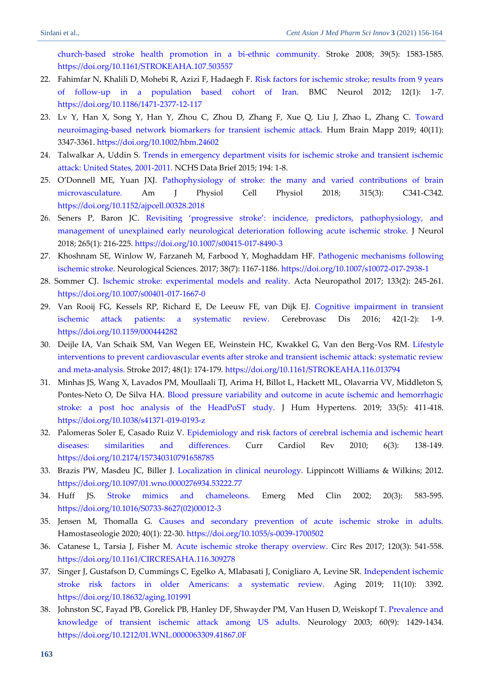[church-based stroke health promotion in a bi-ethnic community.](https://www.ahajournals.org/doi/pdf/10.1161/STROKEAHA.107.503557) Stroke 2008; 39(5): 1583-1585. <https://doi.org/10.1161/STROKEAHA.107.503557>

- <span id="page-7-0"></span>22. Fahimfar N, Khalili D, Mohebi R, Azizi F, Hadaegh F. [Risk factors for ischemic stroke; results from 9 years](https://cyberleninka.org/article/n/1305885.pdf)  [of follow-up in a population based cohort of Iran.](https://cyberleninka.org/article/n/1305885.pdf) BMC Neurol 2012; 12(1): 1-7. <https://doi.org/10.1186/1471-2377-12-117>
- <span id="page-7-1"></span>23. Lv Y, Han X, Song Y, Han Y, Zhou C, Zhou D, Zhang F, Xue Q, Liu J, Zhao L, Zhang C. [Toward](https://onlinelibrary.wiley.com/doi/epdf/10.1002/hbm.24602)  [neuroimaging‐based network biomarkers for transient ischemic attack.](https://onlinelibrary.wiley.com/doi/epdf/10.1002/hbm.24602) Hum Brain Mapp 2019; 40(11): 3347-3361. <https://doi.org/10.1002/hbm.24602>
- <span id="page-7-2"></span>24. Talwalkar A, Uddin S. [Trends in emergency department visits for ischemic stroke and transient ischemic](https://www.medpagetoday.com/upload/2015/3/31/db194.pdf)  [attack: United States, 2001-2011.](https://www.medpagetoday.com/upload/2015/3/31/db194.pdf) NCHS Data Brief 2015; 194: 1-8.
- <span id="page-7-3"></span>25. O'Donnell ME, Yuan JXJ. [Pathophysiology of stroke: the many and varied contributions of brain](https://journals.physiology.org/doi/pdf/10.1152/ajpcell.00328.2018)  [microvasculature.](https://journals.physiology.org/doi/pdf/10.1152/ajpcell.00328.2018) Am J Physiol Cell Physiol 2018; 315(3): C341-C342. <https://doi.org/10.1152/ajpcell.00328.2018>
- <span id="page-7-4"></span>26. Seners P, Baron JC. [Revisiting 'progressive stroke': incidence, predictors, pathophysiology, and](https://link.springer.com/content/pdf/10.1007/s00415-017-8490-3.pdf)  [management of unexplained early neurological](https://link.springer.com/content/pdf/10.1007/s00415-017-8490-3.pdf) deterioration following acute ischemic stroke. J Neurol 2018; 265(1): 216-225.<https://doi.org/10.1007/s00415-017-8490-3>
- <span id="page-7-5"></span>27. Khoshnam SE, Winlow W, Farzaneh M, Farbood Y, Moghaddam HF. [Pathogenic mechanisms following](https://link.springer.com/content/pdf/10.1007/s10072-017-2938-1.pdf)  [ischemic stroke.](https://link.springer.com/content/pdf/10.1007/s10072-017-2938-1.pdf) Neurological Sciences. 2017; 38(7): 1167-1186. <https://doi.org/10.1007/s10072-017-2938-1>
- <span id="page-7-6"></span>28. Sommer CJ. [Ischemic stroke: experimental models and reality.](https://link.springer.com/content/pdf/10.1007/s00401-017-1667-0.pdf) Acta Neuropathol 2017; 133(2): 245-261. <https://doi.org/10.1007/s00401-017-1667-0>
- <span id="page-7-7"></span>29. Van Rooij FG, Kessels RP, Richard E, De Leeuw FE, van Dijk EJ. [Cognitive impairment in transient](https://core.ac.uk/download/pdf/83620548.pdf)  [ischemic attack patients: a systematic review.](https://core.ac.uk/download/pdf/83620548.pdf) Cerebrovasc Dis 2016; 42(1-2): 1-9. <https://doi.org/10.1159/000444282>
- <span id="page-7-8"></span>30. Deijle IA, Van Schaik SM, Van Wegen EE, Weinstein HC, Kwakkel G, Van den Berg-Vos RM. [Lifestyle](https://research.vu.nl/ws/portalfiles/portal/42787735/hoofdstuk+9.pdf)  [interventions to prevent cardiovascular events after stroke and transient ischemic attack: systematic review](https://research.vu.nl/ws/portalfiles/portal/42787735/hoofdstuk+9.pdf)  [and meta-analysis.](https://research.vu.nl/ws/portalfiles/portal/42787735/hoofdstuk+9.pdf) Stroke 2017; 48(1): 174-179.<https://doi.org/10.1161/STROKEAHA.116.013794>
- <span id="page-7-9"></span>31. Minhas JS, Wang X, Lavados PM, Moullaali TJ, Arima H, Billot L, Hackett ML, Olavarria VV, Middleton S, Pontes-Neto O, De Silva HA. [Blood pressure variability and outcome in acute ischemic and hemorrhagic](https://www.researchgate.net/profile/Rodrigo-Rivas-6/publication/336956869_Blood_pressure_variability_and_outcome_in_acute_ischemic_and_hemorrhagic_stroke_a_post_hoc_analysis_of_the_HeadPoST_study/links/5dbc57a392851c81802103e0/Blood-pressure-variability-and-outcome-in-acute-ischemic-and-hemorrhagic-stroke-a-post-hoc-analysis-of-the-HeadPoST-study.pdf)  [stroke: a post hoc analysis of the HeadPoST study.](https://www.researchgate.net/profile/Rodrigo-Rivas-6/publication/336956869_Blood_pressure_variability_and_outcome_in_acute_ischemic_and_hemorrhagic_stroke_a_post_hoc_analysis_of_the_HeadPoST_study/links/5dbc57a392851c81802103e0/Blood-pressure-variability-and-outcome-in-acute-ischemic-and-hemorrhagic-stroke-a-post-hoc-analysis-of-the-HeadPoST-study.pdf) J Hum Hypertens. 2019; 33(5): 411-418. <https://doi.org/10.1038/s41371-019-0193-z>
- <span id="page-7-10"></span>32. Palomeras Soler E, Casado Ruiz V. [Epidemiology and risk factors of cerebral ischemia and ischemic heart](https://www.scienceopen.com/document_file/899a31d6-02bd-448c-baf6-fe484b252ca7/PubMedCentral/899a31d6-02bd-448c-baf6-fe484b252ca7.pdf)  [diseases: similarities and differences.](https://www.scienceopen.com/document_file/899a31d6-02bd-448c-baf6-fe484b252ca7/PubMedCentral/899a31d6-02bd-448c-baf6-fe484b252ca7.pdf) Curr Cardiol Rev 2010; 6(3): 138-149. <https://doi.org/10.2174/157340310791658785>
- <span id="page-7-11"></span>33. Brazis PW, Masdeu JC, Biller J. [Localization in clinical neurology.](https://books.google.com/books?hl=en&lr=&id=bfPhmeFaaHwC&oi=fnd&pg=PR4&ots=RGq-t9H6Zt&sig=Mj62aCFL7dWaCzUP4HxAmjQaRFA#v=onepage&q&f=false) Lippincott Williams & Wilkins; 2012. <https://doi.org/10.1097/01.wno.0000276934.53222.77>
- <span id="page-7-12"></span>34. Huff JS. [Stroke mimics and chameleons.](https://freepaper.me/d/PDF/a9/a912bd486f1ef83da7cc0a03fd0f08aa.pdf?hash=8ifgeTtHsiv5AcRlQHwtVQ&doi=10.1016/S0733-8627(02)00012-3&title=&save=1%20%20%20%20%20%20%20%20%20%20%20%20%20%20%20%20style=) Emerg Med Clin 2002; 20(3): 583-595. [https://doi.org/10.1016/S0733-8627\(02\)00012-3](https://doi.org/10.1016/S0733-8627(02)00012-3)
- <span id="page-7-13"></span>35. Jensen M, Thomalla G. [Causes and secondary prevention of acute ischemic stroke in adults.](https://www.thieme-connect.de/products/ejournals/pdf/10.1055/s-0039-1700502.pdf) Hamostaseologie 2020; 40(1): 22-30[. https://doi.org/10.1055/s-0039-1700502](https://doi.org/10.1055/s-0039-1700502)
- <span id="page-7-14"></span>36. Catanese L, Tarsia J, Fisher M. [Acute ischemic stroke therapy overview.](https://www.ahajournals.org/doi/pdf/10.1161/CIRCRESAHA.116.309278) Circ Res 2017; 120(3): 541-558. <https://doi.org/10.1161/CIRCRESAHA.116.309278>
- <span id="page-7-15"></span>37. Singer J, Gustafson D, Cummings C, Egelko A, Mlabasati J, Conigliaro A, Levine SR. [Independent ischemic](https://pdfs.semanticscholar.org/cbb9/2084718ae8bc29f81f81663a8fe88eccd880.pdf)  [stroke risk factors in older Americans: a systematic review.](https://pdfs.semanticscholar.org/cbb9/2084718ae8bc29f81f81663a8fe88eccd880.pdf) Aging 2019; 11(10): 3392. <https://doi.org/10.18632/aging.101991>
- <span id="page-7-16"></span>38. Johnston SC, Fayad PB, Gorelick PB, Hanley DF, Shwayder PM, Van Husen D, Weiskopf T. [Prevalence and](https://freepaper.me/d/PDF/98/98b9861b008d25741474a54441205e5b.pdf?hash=MysX4kVJp87s1NomBhA8Nw&doi=10.1212/01.WNL.0000063309.41867.0F&title=&save=1%20%20%20%20%20%20%20%20%20%20%20%20%20%20%20%20style=)  [knowledge of transient ischemic attack among US adults.](https://freepaper.me/d/PDF/98/98b9861b008d25741474a54441205e5b.pdf?hash=MysX4kVJp87s1NomBhA8Nw&doi=10.1212/01.WNL.0000063309.41867.0F&title=&save=1%20%20%20%20%20%20%20%20%20%20%20%20%20%20%20%20style=) Neurology 2003; 60(9): 1429-1434. <https://doi.org/10.1212/01.WNL.0000063309.41867.0F>